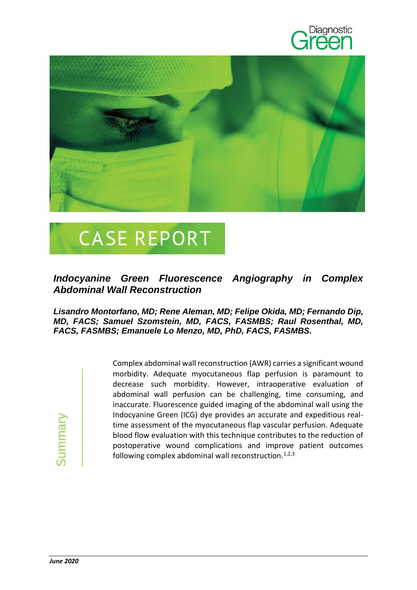



## **CASE REPORT**

## *Indocyanine Green Fluorescence Angiography in Complex Abdominal Wall Reconstruction*

## *Lisandro Montorfano, MD; Rene Aleman, MD; Felipe Okida, MD; Fernando Dip, MD, FACS; Samuel Szomstein, MD, FACS, FASMBS; Raul Rosenthal, MD, FACS, FASMBS; Emanuele Lo Menzo, MD, PhD, FACS, FASMBS.*

**June 2020** Summary

Complex abdominal wall reconstruction (AWR) carries a significant wound morbidity. Adequate myocutaneous flap perfusion is paramount to decrease such morbidity. However, intraoperative evaluation of abdominal wall perfusion can be challenging, time consuming, and inaccurate. Fluorescence guided imaging of the abdominal wall using the Indocyanine Green (ICG) dye provides an accurate and expeditious realtime assessment of the myocutaneous flap vascular perfusion. Adequate blood flow evaluation with this technique contributes to the reduction of postoperative wound complications and improve patient outcomes following complex abdominal wall reconstruction. $1,2,3$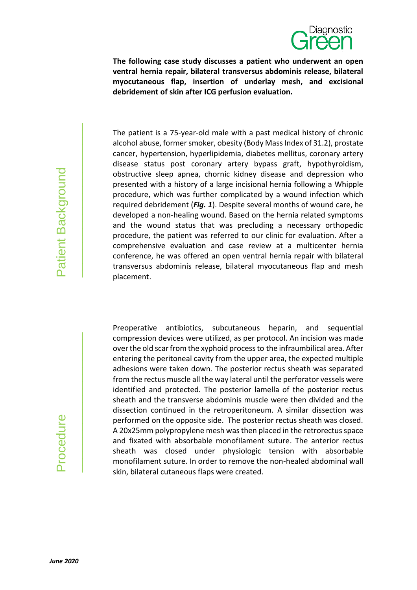

**The following case study discusses a patient who underwent an open ventral hernia repair, bilateral transversus abdominis release, bilateral myocutaneous flap, insertion of underlay mesh, and excisional debridement of skin after ICG perfusion evaluation.**

The patient is a 75-year-old male with a past medical history of chronic alcohol abuse, former smoker, obesity (Body Mass Index of 31.2), prostate cancer, hypertension, hyperlipidemia, diabetes mellitus, coronary artery disease status post coronary artery bypass graft, hypothyroidism, obstructive sleep apnea, chornic kidney disease and depression who presented with a history of a large incisional hernia following a Whipple procedure, which was further complicated by a wound infection which required debridement (*Fig. 1*). Despite several months of wound care, he developed a non-healing wound. Based on the hernia related symptoms and the wound status that was precluding a necessary orthopedic procedure, the patient was referred to our clinic for evaluation. After a comprehensive evaluation and case review at a multicenter hernia conference, he was offered an open ventral hernia repair with bilateral transversus abdominis release, bilateral myocutaneous flap and mesh placement.

Preoperative antibiotics, subcutaneous heparin, and sequential compression devices were utilized, as per protocol. An incision was made over the old scar from the xyphoid processto the infraumbilical area. After entering the peritoneal cavity from the upper area, the expected multiple adhesions were taken down. The posterior rectus sheath was separated from the rectus muscle all the way lateral until the perforator vessels were identified and protected. The posterior lamella of the posterior rectus sheath and the transverse abdominis muscle were then divided and the dissection continued in the retroperitoneum. A similar dissection was performed on the opposite side. The posterior rectus sheath was closed. A 20x25mm polypropylene mesh was then placed in the retrorectus space and fixated with absorbable monofilament suture. The anterior rectus sheath was closed under physiologic tension with absorbable monofilament suture. In order to remove the non-healed abdominal wall skin, bilateral cutaneous flaps were created.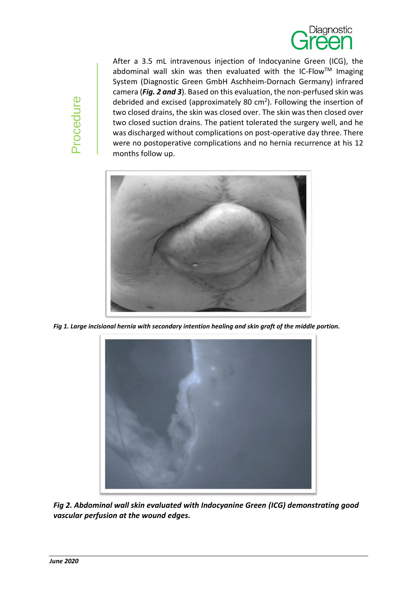

After a 3.5 mL intravenous injection of Indocyanine Green (ICG), the abdominal wall skin was then evaluated with the IC-Flow<sup>TM</sup> Imaging System (Diagnostic Green GmbH Aschheim-Dornach Germany) infrared camera (*Fig. 2 and 3*). Based on this evaluation, the non-perfused skin was debrided and excised (approximately 80  $cm<sup>2</sup>$ ). Following the insertion of two closed drains, the skin was closed over. The skin was then closed over two closed suction drains. The patient tolerated the surgery well, and he was discharged without complications on post-operative day three. There were no postoperative complications and no hernia recurrence at his 12 months follow up.



*Fig 1. Large incisional hernia with secondary intention healing and skin graft of the middle portion.*



*Fig 2. Abdominal wall skin evaluated with Indocyanine Green (ICG) demonstrating good vascular perfusion at the wound edges.*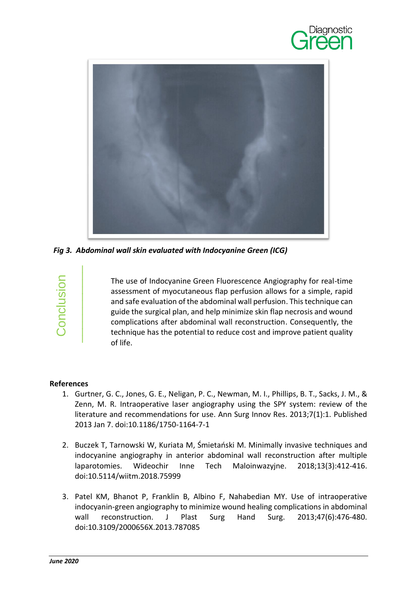



*Fig 3. Abdominal wall skin evaluated with Indocyanine Green (ICG)*

Conclusion

The use of Indocyanine Green Fluorescence Angiography for real-time assessment of myocutaneous flap perfusion allows for a simple, rapid and safe evaluation of the abdominal wall perfusion. This technique can guide the surgical plan, and help minimize skin flap necrosis and wound complications after abdominal wall reconstruction. Consequently, the technique has the potential to reduce cost and improve patient quality of life.

## **References**

- 1. Gurtner, G. C., Jones, G. E., Neligan, P. C., Newman, M. I., Phillips, B. T., Sacks, J. M., & Zenn, M. R. Intraoperative laser angiography using the SPY system: review of the literature and recommendations for use. Ann Surg Innov Res. 2013;7(1):1. Published 2013 Jan 7. doi:10.1186/1750-1164-7-1
- 2. Buczek T, Tarnowski W, Kuriata M, Śmietański M. Minimally invasive techniques and indocyanine angiography in anterior abdominal wall reconstruction after multiple laparotomies. Wideochir Inne Tech Maloinwazyjne. 2018;13(3):412‐416. doi:10.5114/wiitm.2018.75999
- 3. Patel KM, Bhanot P, Franklin B, Albino F, Nahabedian MY. Use of intraoperative indocyanin-green angiography to minimize wound healing complications in abdominal wall reconstruction. J Plast Surg Hand Surg. 2013;47(6):476-480. doi:10.3109/2000656X.2013.787085